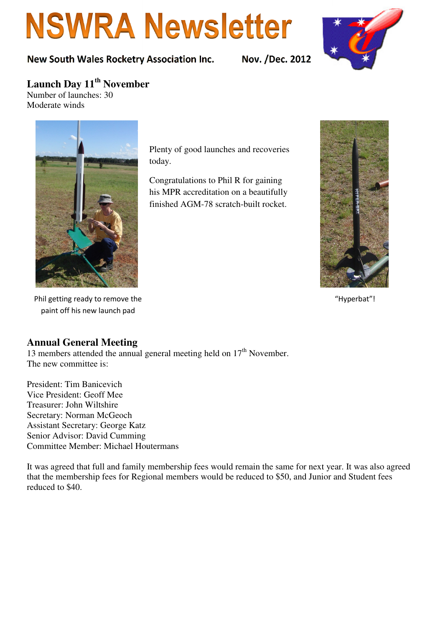# **NSWRA Newsletter**

#### New South Wales Rocketry Association Inc. Nov. /Dec. 2012



# **Launch Day 11th November**

Number of launches: 30 Moderate winds



Plenty of good launches and recoveries today.

Congratulations to Phil R for gaining his MPR accreditation on a beautifully finished AGM-78 scratch-built rocket.



"Hyperbat"!

Phil getting ready to remove the paint off his new launch pad

#### **Annual General Meeting**

13 members attended the annual general meeting held on  $17<sup>th</sup>$  November. The new committee is:

President: Tim Banicevich Vice President: Geoff Mee Treasurer: John Wiltshire Secretary: Norman McGeoch Assistant Secretary: George Katz Senior Advisor: David Cumming Committee Member: Michael Houtermans

It was agreed that full and family membership fees would remain the same for next year. It was also agreed that the membership fees for Regional members would be reduced to \$50, and Junior and Student fees reduced to \$40.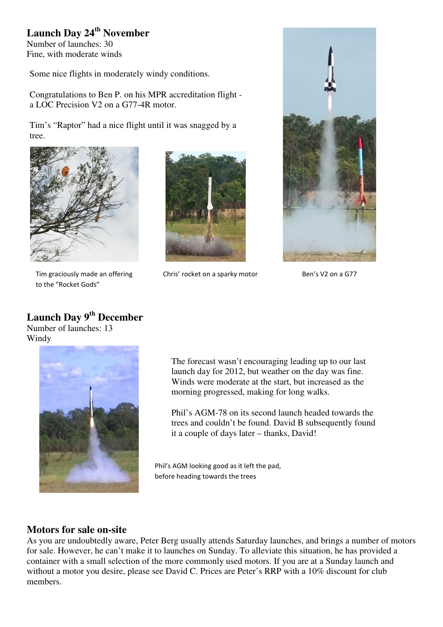### **Launch Day 24th November**

Number of launches: 30 Fine, with moderate winds

Some nice flights in moderately windy conditions.

Congratulations to Ben P. on his MPR accreditation flight a LOC Precision V2 on a G77-4R motor.

Tim's "Raptor" had a nice flight until it was snagged by a tree.



Tim graciously made an offering to the "Rocket Gods"

Chris' rocket on a sparky motor Ben's V2 on a G77



## **Launch Day 9th December**

Number of launches: 13 Windy



The forecast wasn't encouraging leading up to our last launch day for 2012, but weather on the day was fine. Winds were moderate at the start, but increased as the morning progressed, making for long walks.

Phil's AGM-78 on its second launch headed towards the trees and couldn't be found. David B subsequently found it a couple of days later – thanks, David!

Phil's AGM looking good as it left the pad, before heading towards the trees

#### **Motors for sale on-site**

As you are undoubtedly aware, Peter Berg usually attends Saturday launches, and brings a number of motors for sale. However, he can't make it to launches on Sunday. To alleviate this situation, he has provided a container with a small selection of the more commonly used motors. If you are at a Sunday launch and without a motor you desire, please see David C. Prices are Peter's RRP with a 10% discount for club members.